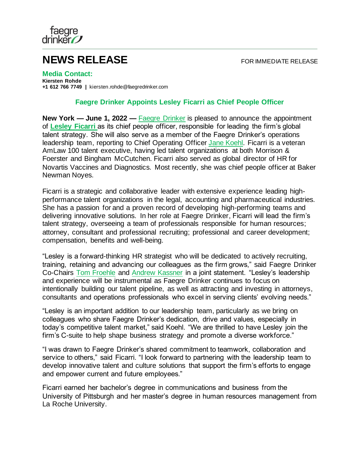

## **NEWS RELEASE** FOR IMMEDIATE RELEASE

**Media Contact: Kiersten Rohde +1 612 766 7749 |** kiersten.rohde@faegredrinker.com

## **Faegre Drinker Appoints Lesley Ficarri as Chief People Officer**

**New York — June 1, 2022 —** [Faegre Drinker](https://www.faegredrinker.com/) is pleased to announce the appointment of **[Lesley Ficarri](https://www.faegredrinker.com/en/professionals/f/ficarri-lesley-a#tab-Overview)** as its chief people officer, responsible for leading the firm's global talent strategy. She will also serve as a member of the Faegre Drinker's operations leadership team, reporting to Chief Operating Office[r Jane Koehl.](https://www.faegredrinker.com/en/professionals/k/koehl-jane-c#!) Ficarri is a veteran AmLaw 100 talent executive, having led talent organizations at both Morrison & Foerster and Bingham McCutchen. Ficarri also served as global director of HR for Novartis Vaccines and Diagnostics. Most recently, she was chief people officer at Baker Newman Noyes.

Ficarri is a strategic and collaborative leader with extensive experience leading highperformance talent organizations in the legal, accounting and pharmaceutical industries. She has a passion for and a proven record of developing high-performing teams and delivering innovative solutions. In her role at Faegre Drinker, Ficarri will lead the firm's talent strategy, overseeing a team of professionals responsible for human resources; attorney, consultant and professional recruiting; professional and career development; compensation, benefits and well-being.

"Lesley is a forward-thinking HR strategist who will be dedicated to actively recruiting, training, retaining and advancing our colleagues as the firm grows," said Faegre Drinker Co-Chairs [Tom Froehle](https://www.faegredrinker.com/en/professionals/f/froehle-tom#!) and [Andrew Kassner](https://www.faegredrinker.com/en/professionals/k/kassner-andrew-c#!) in a joint statement. "Lesley's leadership and experience will be instrumental as Faegre Drinker continues to focus on intentionally building our talent pipeline, as well as attracting and investing in attorneys, consultants and operations professionals who excel in serving clients' evolving needs."

"Lesley is an important addition to our leadership team, particularly as we bring on colleagues who share Faegre Drinker's dedication, drive and values, especially in today's competitive talent market," said Koehl. "We are thrilled to have Lesley join the firm's C-suite to help shape business strategy and promote a diverse workforce."

"I was drawn to Faegre Drinker's shared commitment to teamwork, collaboration and service to others," said Ficarri. "I look forward to partnering with the leadership team to develop innovative talent and culture solutions that support the firm's efforts to engage and empower current and future employees."

Ficarri earned her bachelor's degree in communications and business from the University of Pittsburgh and her master's degree in human resources management from La Roche University.